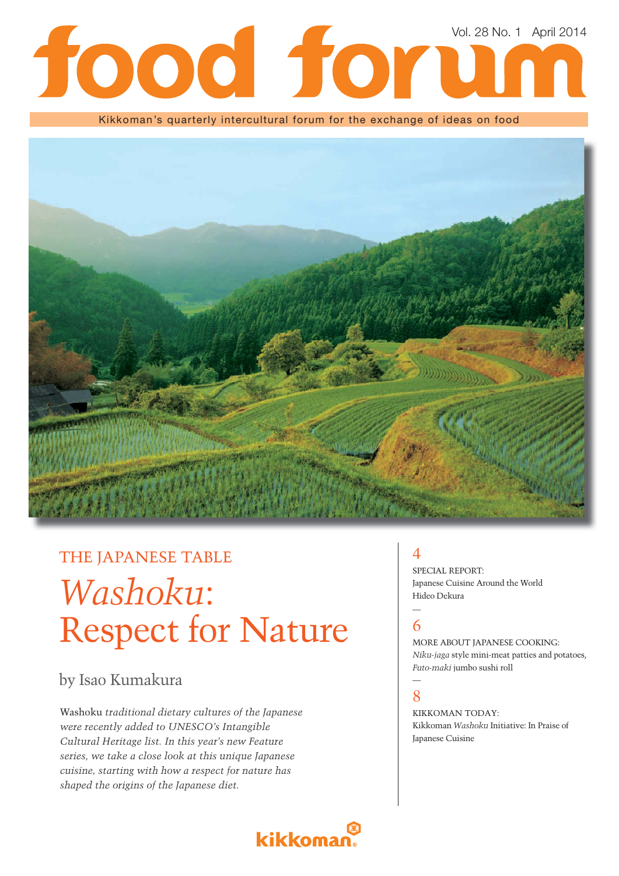# Vol. 28 No. 1 April 2014lod for

Kikkoman's quarterly intercultural forum for the exchange of ideas on food



# THE JAPANESE TABLE *Washoku*: Respect for Nature

### by Isao Kumakura

Washoku *traditional dietary cultures of the Japanese were recently added to UNESCO's Intangible Cultural Heritage list. In this year's new Feature series, we take a close look at this unique Japanese cuisine, starting with how a respect for nature has shaped the origins of the Japanese diet.* 

### $\boldsymbol{\varDelta}$

SPECIAL REPORT: Japanese Cuisine Around the World Hideo Dekura

# 6

MORE ABOUT JAPANESE COOKING: *Niku-jaga* style mini-meat patties and potatoes, *Futo-maki* jumbo sushi roll

#### — 8

KIKKOMAN TODAY: Kikkoman *Washoku* Initiative: In Praise of Japanese Cuisine

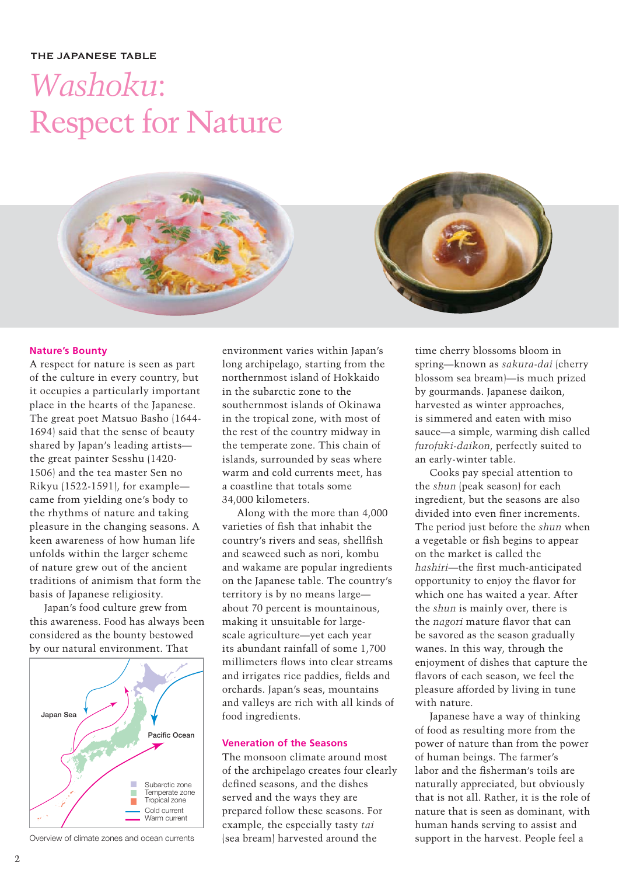#### THE JAPANESE TABLE

# *Washoku*: Respect for Nature

#### **Nature's Bounty**

A respect for nature is seen as part of the culture in every country, but it occupies a particularly important place in the hearts of the Japanese. The great poet Matsuo Basho (1644- 1694) said that the sense of beauty shared by Japan's leading artists the great painter Sesshu (1420- 1506) and the tea master Sen no Rikyu (1522-1591), for example came from yielding one's body to the rhythms of nature and taking pleasure in the changing seasons. A keen awareness of how human life unfolds within the larger scheme of nature grew out of the ancient traditions of animism that form the basis of Japanese religiosity.

Japan's food culture grew from this awareness. Food has always been considered as the bounty bestowed by our natural environment. That



environment varies within Japan's long archipelago, starting from the northernmost island of Hokkaido in the subarctic zone to the southernmost islands of Okinawa in the tropical zone, with most of the rest of the country midway in the temperate zone. This chain of islands, surrounded by seas where warm and cold currents meet, has a coastline that totals some 34,000 kilometers.

Along with the more than 4,000 varieties of fish that inhabit the country's rivers and seas, shellfish and seaweed such as nori, kombu and wakame are popular ingredients on the Japanese table. The country's territory is by no means large about 70 percent is mountainous, making it unsuitable for largescale agriculture—yet each year its abundant rainfall of some 1,700 millimeters flows into clear streams and irrigates rice paddies, fields and orchards. Japan's seas, mountains and valleys are rich with all kinds of food ingredients.

#### **Veneration of the Seasons**

The monsoon climate around most of the archipelago creates four clearly defined seasons, and the dishes served and the ways they are prepared follow these seasons. For example, the especially tasty *tai* (sea bream) harvested around the Overview of climate zones and ocean currents (sea bream) harvested around the support in the harvest. People feel a

time cherry blossoms bloom in spring—known as *sakura-dai* (cherry blossom sea bream)—is much prized by gourmands. Japanese daikon, harvested as winter approaches, is simmered and eaten with miso sauce—a simple, warming dish called *furofuki-daikon*, perfectly suited to an early-winter table.

Cooks pay special attention to the *shun* (peak season) for each ingredient, but the seasons are also divided into even finer increments. The period just before the *shun* when a vegetable or fish begins to appear on the market is called the *hashiri*—the first much-anticipated opportunity to enjoy the flavor for which one has waited a year. After the *shun* is mainly over, there is the *nagori* mature flavor that can be savored as the season gradually wanes. In this way, through the enjoyment of dishes that capture the flavors of each season, we feel the pleasure afforded by living in tune with nature.

Japanese have a way of thinking of food as resulting more from the power of nature than from the power of human beings. The farmer's labor and the fisherman's toils are naturally appreciated, but obviously that is not all. Rather, it is the role of nature that is seen as dominant, with human hands serving to assist and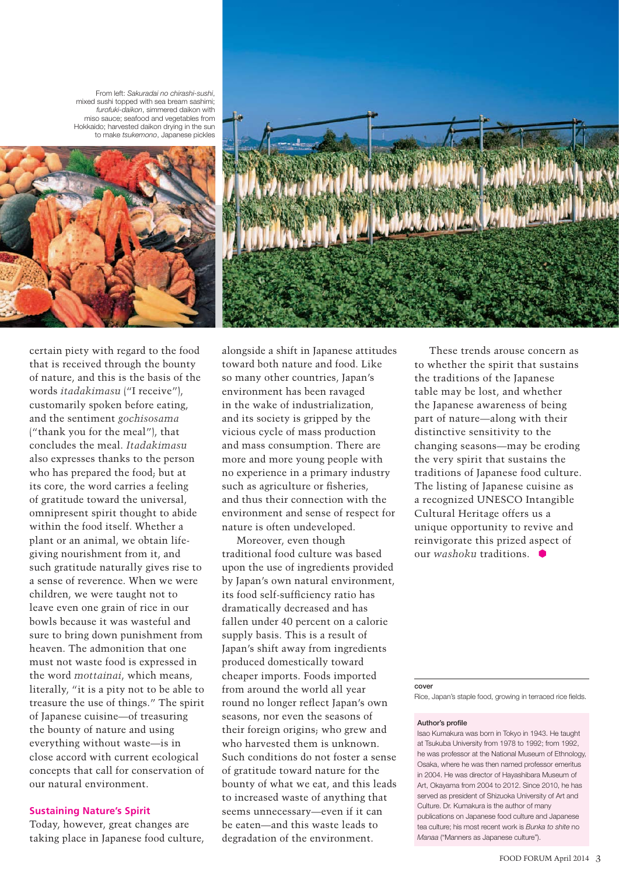From left: *Sakuradai no chirashi-sushi*, mixed sushi topped with sea bream sashimi; *furofuki-daikon*, simmered daikon with miso sauce; seafood and vegetables from Hokkaido; harvested daikon drying in the sun to make *tsukemono*, Japanese pickles





certain piety with regard to the food that is received through the bounty of nature, and this is the basis of the words *itadakimasu* ("I receive"), customarily spoken before eating, and the sentiment *gochisosama* ("thank you for the meal"), that concludes the meal. *Itadakimasu* also expresses thanks to the person who has prepared the food; but at its core, the word carries a feeling of gratitude toward the universal, omnipresent spirit thought to abide within the food itself. Whether a plant or an animal, we obtain lifegiving nourishment from it, and such gratitude naturally gives rise to a sense of reverence. When we were children, we were taught not to leave even one grain of rice in our bowls because it was wasteful and sure to bring down punishment from heaven. The admonition that one must not waste food is expressed in the word *mottainai*, which means, literally, "it is a pity not to be able to treasure the use of things." The spirit of Japanese cuisine—of treasuring the bounty of nature and using everything without waste—is in close accord with current ecological concepts that call for conservation of our natural environment.

#### **Sustaining Nature's Spirit**

Today, however, great changes are taking place in Japanese food culture,

alongside a shift in Japanese attitudes toward both nature and food. Like so many other countries, Japan's environment has been ravaged in the wake of industrialization, and its society is gripped by the vicious cycle of mass production and mass consumption. There are more and more young people with no experience in a primary industry such as agriculture or fisheries, and thus their connection with the environment and sense of respect for nature is often undeveloped.

Moreover, even though traditional food culture was based upon the use of ingredients provided by Japan's own natural environment, its food self-sufficiency ratio has dramatically decreased and has fallen under 40 percent on a calorie supply basis. This is a result of Japan's shift away from ingredients produced domestically toward cheaper imports. Foods imported from around the world all year round no longer reflect Japan's own seasons, nor even the seasons of their foreign origins; who grew and who harvested them is unknown. Such conditions do not foster a sense of gratitude toward nature for the bounty of what we eat, and this leads to increased waste of anything that seems unnecessary—even if it can be eaten—and this waste leads to degradation of the environment.

These trends arouse concern as to whether the spirit that sustains the traditions of the Japanese table may be lost, and whether the Japanese awareness of being part of nature—along with their distinctive sensitivity to the changing seasons—may be eroding the very spirit that sustains the traditions of Japanese food culture. The listing of Japanese cuisine as a recognized UNESCO Intangible Cultural Heritage offers us a unique opportunity to revive and reinvigorate this prized aspect of our *washoku* traditions.

**cover**

Rice, Japan's staple food, growing in terraced rice fields.

#### **Author's profile**

Isao Kumakura was born in Tokyo in 1943. He taught at Tsukuba University from 1978 to 1992; from 1992, he was professor at the National Museum of Ethnology, Osaka, where he was then named professor emeritus in 2004. He was director of Hayashibara Museum of Art, Okayama from 2004 to 2012. Since 2010, he has served as president of Shizuoka University of Art and Culture. Dr. Kumakura is the author of many publications on Japanese food culture and Japanese tea culture; his most recent work is *Bunka to shite* no *Manaa* ("Manners as Japanese culture").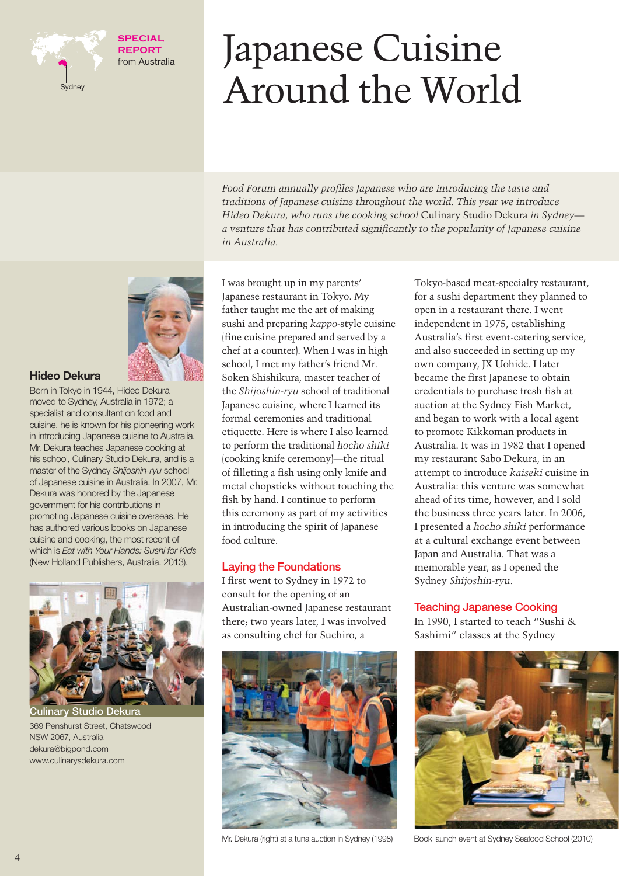

#### **SPECIAL REPORT** from Australia

# Japanese Cuisine Around the World

*Food Forum annually profiles Japanese who are introducing the taste and traditions of Japanese cuisine throughout the world. This year we introduce Hideo Dekura, who runs the cooking school* Culinary Studio Dekura *in Sydney a venture that has contributed significantly to the popularity of Japanese cuisine in Australia.*



#### **Hideo Dekura**

Born in Tokyo in 1944, Hideo Dekura moved to Sydney, Australia in 1972; a specialist and consultant on food and cuisine, he is known for his pioneering work in introducing Japanese cuisine to Australia. Mr. Dekura teaches Japanese cooking at his school, Culinary Studio Dekura, and is a master of the Sydney *Shijoshin-ryu* school of Japanese cuisine in Australia. In 2007, Mr. Dekura was honored by the Japanese government for his contributions in promoting Japanese cuisine overseas. He has authored various books on Japanese cuisine and cooking, the most recent of which is *Eat with Your Hands: Sushi for Kids* (New Holland Publishers, Australia. 2013).



**Studio Dekura** 369 Penshurst Street, Chatswood NSW 2067, Australia dekura@bigpond.com www.culinarysdekura.com

I was brought up in my parents' Japanese restaurant in Tokyo. My father taught me the art of making sushi and preparing *kappo*-style cuisine (fine cuisine prepared and served by a chef at a counter). When I was in high school, I met my father's friend Mr. Soken Shishikura, master teacher of the *Shijoshin-ryu* school of traditional Japanese cuisine, where I learned its formal ceremonies and traditional etiquette. Here is where I also learned to perform the traditional *hocho shiki* (cooking knife ceremony)—the ritual of filleting a fish using only knife and metal chopsticks without touching the fish by hand. I continue to perform this ceremony as part of my activities in introducing the spirit of Japanese food culture.

#### **Laying the Foundations**

I first went to Sydney in 1972 to consult for the opening of an Australian-owned Japanese restaurant there; two years later, I was involved as consulting chef for Suehiro, a



Tokyo-based meat-specialty restaurant, for a sushi department they planned to open in a restaurant there. I went independent in 1975, establishing Australia's first event-catering service, and also succeeded in setting up my own company, JX Uohide. I later became the first Japanese to obtain credentials to purchase fresh fish at auction at the Sydney Fish Market, and began to work with a local agent to promote Kikkoman products in Australia. It was in 1982 that I opened my restaurant Sabo Dekura, in an attempt to introduce *kaiseki* cuisine in Australia: this venture was somewhat ahead of its time, however, and I sold the business three years later. In 2006, I presented a *hocho shiki* performance at a cultural exchange event between Japan and Australia. That was a memorable year, as I opened the Sydney *Shijoshin-ryu*.

#### **Teaching Japanese Cooking**

In 1990, I started to teach "Sushi & Sashimi" classes at the Sydney



Mr. Dekura (right) at a tuna auction in Sydney (1998) Book launch event at Sydney Seafood School (2010)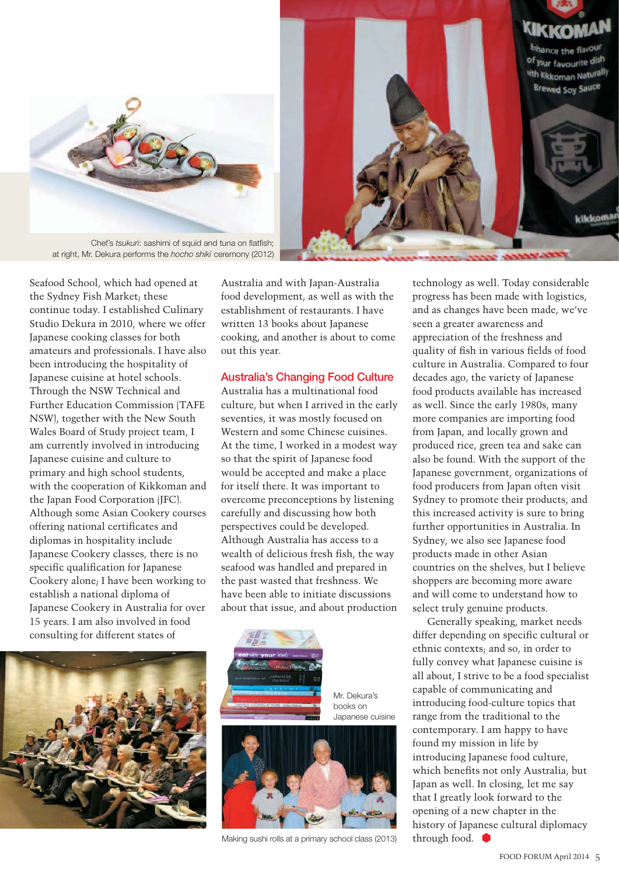



at right, Mr. Dekura performs the *hocho shiki* ceremony (2012)

Seafood School, which had opened at the Sydney Fish Market; these continue today. I established Culinary Studio Dekura in 2010, where we offer Japanese cooking classes for both amateurs and professionals. I have also been introducing the hospitality of Japanese cuisine at hotel schools. Through the NSW Technical and Further Education Commission (TAFE NSW), together with the New South Wales Board of Study project team, I am currently involved in introducing Japanese cuisine and culture to primary and high school students, with the cooperation of Kikkoman and the Japan Food Corporation (JFC). Although some Asian Cookery courses offering national certificates and diplomas in hospitality include Japanese Cookery classes, there is no specific qualification for Japanese Cookery alone; I have been working to establish a national diploma of Japanese Cookery in Australia for over 15 years. I am also involved in food consulting for different states of



#### **Australia's Changing Food Culture**

Australia has a multinational food culture, but when I arrived in the early seventies, it was mostly focused on Western and some Chinese cuisines. At the time, I worked in a modest way so that the spirit of Japanese food would be accepted and make a place for itself there. It was important to overcome preconceptions by listening carefully and discussing how both perspectives could be developed. Although Australia has access to a wealth of delicious fresh fish, the way seafood was handled and prepared in the past wasted that freshness. We have been able to initiate discussions about that issue, and about production



Mr. Dekura's books on Japanese cuisine



Making sushi rolls at a primary school class (2013)

technology as well. Today considerable progress has been made with logistics, and as changes have been made, we've seen a greater awareness and appreciation of the freshness and quality of fish in various fields of food culture in Australia. Compared to four decades ago, the variety of Japanese food products available has increased as well. Since the early 1980s, many more companies are importing food from Japan, and locally grown and produced rice, green tea and sake can also be found. With the support of the Japanese government, organizations of food producers from Japan often visit Sydney to promote their products, and this increased activity is sure to bring further opportunities in Australia. In Sydney, we also see Japanese food products made in other Asian countries on the shelves, but I believe shoppers are becoming more aware and will come to understand how to select truly genuine products.

Generally speaking, market needs differ depending on specific cultural or ethnic contexts; and so, in order to fully convey what Japanese cuisine is all about, I strive to be a food specialist capable of communicating and introducing food-culture topics that range from the traditional to the contemporary. I am happy to have found my mission in life by introducing Japanese food culture, which benefits not only Australia, but Japan as well. In closing, let me say that I greatly look forward to the opening of a new chapter in the history of Japanese cultural diplomacy through food.

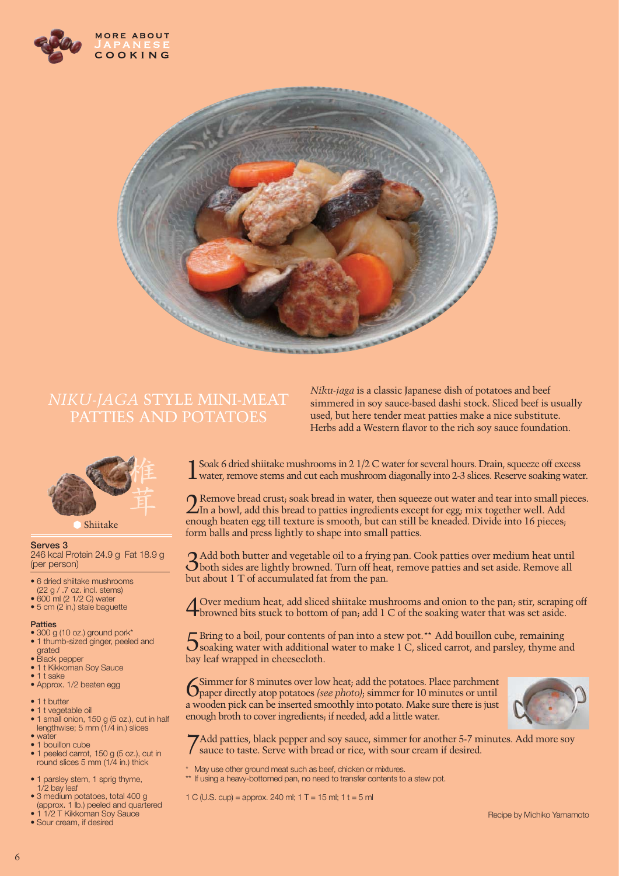



## *NIKU-JAGA* STYLE MINI-MEAT PATTIES AND POTATOES



**Serves 3**  246 kcal Protein 24.9 g Fat 18.9 g (per person)

- 6 dried shiitake mushrooms (22 g / .7 oz. incl. stems)  $\bullet$  600 ml (2 1/2 C) water
- $\bullet$  5 cm (2 in.) stale baguette

#### **Patties**

- 300 g (10 oz.) ground pork\* • 1 thumb-sized ginger, peeled and
- grated • Black pepper
- 1 t Kikkoman Soy Sauce
- $\bullet$  1 t sake
- Approx. 1/2 beaten egg
- $\bullet$  1 t butter
- $\bullet$  1 t vegetable oil
- 1 small onion, 150 g (5 oz.), cut in half<br>lengthwise; 5 mm (1/4 in.) slices
- water • 1 bouillon cube
- 1 peeled carrot, 150 g (5 oz.), cut in<br>round slices 5 mm (1/4 in.) thick
- 1 parsley stem, 1 sprig thyme, 1/2 bay leaf
- · 3 medium potatoes, total 400 g (approx. 1 lb.) peeled and quartered<br> $\bullet$  1 1/2 T Kikkoman Sov Sauce
- 1/2 T Kikkoman Soy Sauce • Sour cream, if desired

*Niku-jaga* is a classic Japanese dish of potatoes and beef simmered in soy sauce-based dashi stock. Sliced beef is usually used, but here tender meat patties make a nice substitute. Herbs add a Western flavor to the rich soy sauce foundation.

Soak 6 dried shiitake mushrooms in 2 1/2 C water for several hours. Drain, squeeze off excess water, remove stems and cut each mushroom diagonally into 2-3 slices. Reserve soaking water.

2Remove bread crust; soak bread in water, then squeeze out water and tear into small pieces. In a bowl, add this bread to patties ingredients except for egg; mix together well. Add enough beaten egg till texture is smooth, but can still be kneaded. Divide into 16 pieces; form balls and press lightly to shape into small patties.

3Add both butter and vegetable oil to a frying pan. Cook patties over medium heat until both sides are lightly browned. Turn off heat, remove patties and set aside. Remove all but about 1 T of accumulated fat from the pan.

4Over medium heat, add sliced shiitake mushrooms and onion to the pan; stir, scraping off browned bits stuck to bottom of pan; add 1 C of the soaking water that was set aside.

5Bring to a boil, pour contents of pan into a stew pot.\*\* Add bouillon cube, remaining soaking water with additional water to make 1 C, sliced carrot, and parsley, thyme and bay leaf wrapped in cheesecloth.

6Simmer for 8 minutes over low heat; add the potatoes. Place parchment paper directly atop potatoes *(see photo)*; simmer for 10 minutes or until a wooden pick can be inserted smoothly into potato. Make sure there is just enough broth to cover ingredients; if needed, add a little water.



7Add patties, black pepper and soy sauce, simmer for another 5-7 minutes. Add more soy sauce to taste. Serve with bread or rice, with sour cream if desired.

- May use other ground meat such as beef, chicken or mixtures.
- \*\* If using a heavy-bottomed pan, no need to transfer contents to a stew pot.
- 1 C (U.S. cup) = approx. 240 ml; 1 T = 15 ml; 1 t = 5 ml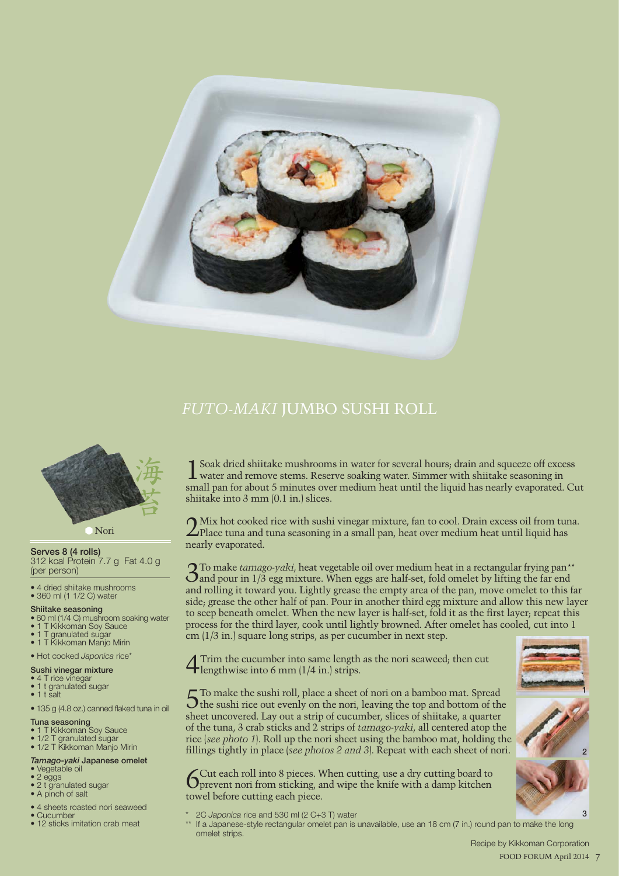

### *FUTO-MAKI* JUMBO SUSHI ROLL



Nori

**Serves 8 (4 rolls)** 312 kcal Protein 7.7 g Fat 4.0 g

(per person)

• 4 dried shiitake mushrooms  $\bullet$  360 ml (1 1/2 C) water

### **Shiitake seasoning**

- 60 ml (1/4 C) mushroom soaking water
- 1 T Kikkoman Soy Sauce
- 1 T granulated sugar
- $\bullet$  1 T Kikkoman Manjo Mirin

#### • Hot cooked Japonica rice\*

#### **Sushi vinegar mixture**

- $\bullet$  4 T rice vinegar  $\bullet$  1 t granulated sugar
- $\bullet$  1 t salt
- 135 g (4.8 oz.) canned flaked tuna in oil

#### **Tuna seasoning**

- 1 T Kikkoman Soy Sauce
- 1/2 T granulated sugar<br>• 1/2 T Kikkoman Manjo Mirin

#### *Tamago-yaki* **Japanese omelet**

- Vegetable oil
- $\bullet$  2 eggs
- 2 t granulated sugar • A pinch of salt
- 4 sheets roasted nori seaweed
- $\bullet$  Cucumber
- 12 sticks imitation crab meat

Soak dried shiitake mushrooms in water for several hours; drain and squeeze off excess water and remove stems. Reserve soaking water. Simmer with shiitake seasoning in small pan for about 5 minutes over medium heat until the liquid has nearly evaporated. Cut shiitake into 3 mm (0.1 in.) slices.

2Mix hot cooked rice with sushi vinegar mixture, fan to cool. Drain excess oil from tuna. Place tuna and tuna seasoning in a small pan, heat over medium heat until liquid has nearly evaporated.

3To make *tamago-yaki*, heat vegetable oil over medium heat in a rectangular frying pan\*\* and pour in 1/3 egg mixture. When eggs are half-set, fold omelet by lifting the far end and rolling it toward you. Lightly grease the empty area of the pan, move omelet to this far side; grease the other half of pan. Pour in another third egg mixture and allow this new layer to seep beneath omelet. When the new layer is half-set, fold it as the first layer; repeat this process for the third layer, cook until lightly browned. After omelet has cooled, cut into 1 cm (1/3 in.) square long strips, as per cucumber in next step.

4 Trim the cucumber into same length as the nori seaweed; then cut lengthwise into 6 mm (1/4 in.) strips.

5To make the sushi roll, place a sheet of nori on a bamboo mat. Spread the sushi rice out evenly on the nori, leaving the top and bottom of the sheet uncovered. Lay out a strip of cucumber, slices of shiitake, a quarter of the tuna, 3 crab sticks and 2 strips of *tamago-yaki*, all centered atop the rice (*see photo 1*). Roll up the nori sheet using the bamboo mat, holding the fillings tightly in place (*see photos 2 and 3*). Repeat with each sheet of nori.

6Cut each roll into 8 pieces. When cutting, use a dry cutting board to prevent nori from sticking, and wipe the knife with a damp kitchen towel before cutting each piece.

- \* 2C *Japonica* rice and 530 ml (2 C+3 T) water
- If a Japanese-style rectangular omelet pan is unavailable, use an 18 cm (7 in.) round pan to make the long omelet strips.



**1**

**3**

 Recipe by Kikkoman Corporation 7 FOOD FORUM April 2014